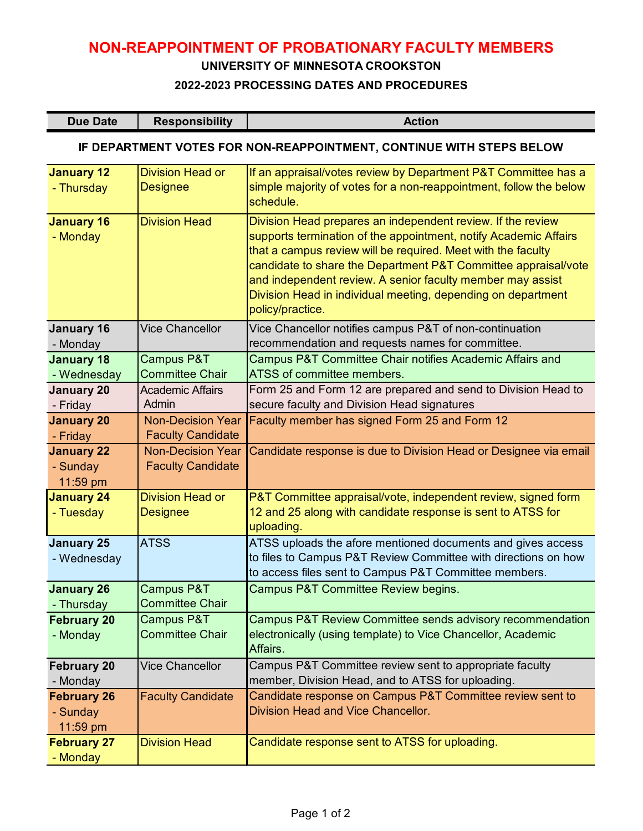# **NON-REAPPOINTMENT OF PROBATIONARY FACULTY MEMBERS**

#### **UNIVERSITY OF MINNESOTA CROOKSTON**

#### **2022-2023 PROCESSING DATES AND PROCEDURES**

| Due Date | <b>Responsibility</b> | <b>Action</b> |
|----------|-----------------------|---------------|
|----------|-----------------------|---------------|

## **IF DEPARTMENT VOTES FOR NON-REAPPOINTMENT, CONTINUE WITH STEPS BELOW**

| <b>January 12</b><br>- Thursday            | <b>Division Head or</b><br><b>Designee</b>           | If an appraisal/votes review by Department P&T Committee has a<br>simple majority of votes for a non-reappointment, follow the below<br>schedule.                                                                                                                                                                                                                                                                   |
|--------------------------------------------|------------------------------------------------------|---------------------------------------------------------------------------------------------------------------------------------------------------------------------------------------------------------------------------------------------------------------------------------------------------------------------------------------------------------------------------------------------------------------------|
| <b>January 16</b><br>- Monday              | <b>Division Head</b>                                 | Division Head prepares an independent review. If the review<br>supports termination of the appointment, notify Academic Affairs<br>that a campus review will be required. Meet with the faculty<br>candidate to share the Department P&T Committee appraisal/vote<br>and independent review. A senior faculty member may assist<br>Division Head in individual meeting, depending on department<br>policy/practice. |
| <b>January 16</b><br>- Monday              | <b>Vice Chancellor</b>                               | Vice Chancellor notifies campus P&T of non-continuation<br>recommendation and requests names for committee.                                                                                                                                                                                                                                                                                                         |
| <b>January 18</b><br>- Wednesday           | Campus P&T<br><b>Committee Chair</b>                 | Campus P&T Committee Chair notifies Academic Affairs and<br>ATSS of committee members.                                                                                                                                                                                                                                                                                                                              |
| <b>January 20</b><br>- Friday              | <b>Academic Affairs</b><br>Admin                     | Form 25 and Form 12 are prepared and send to Division Head to<br>secure faculty and Division Head signatures                                                                                                                                                                                                                                                                                                        |
| <b>January 20</b><br>- Friday              | <b>Non-Decision Year</b><br><b>Faculty Candidate</b> | Faculty member has signed Form 25 and Form 12                                                                                                                                                                                                                                                                                                                                                                       |
| <b>January 22</b><br>- Sunday<br>11:59 pm  | <b>Non-Decision Year</b><br><b>Faculty Candidate</b> | Candidate response is due to Division Head or Designee via email                                                                                                                                                                                                                                                                                                                                                    |
| <b>January 24</b><br>- Tuesday             | <b>Division Head or</b><br><b>Designee</b>           | P&T Committee appraisal/vote, independent review, signed form<br>12 and 25 along with candidate response is sent to ATSS for<br>uploading.                                                                                                                                                                                                                                                                          |
| <b>January 25</b><br>- Wednesday           | <b>ATSS</b>                                          | ATSS uploads the afore mentioned documents and gives access<br>to files to Campus P&T Review Committee with directions on how<br>to access files sent to Campus P&T Committee members.                                                                                                                                                                                                                              |
| <b>January 26</b><br>- Thursday            | Campus P&T<br><b>Committee Chair</b>                 | Campus P&T Committee Review begins.                                                                                                                                                                                                                                                                                                                                                                                 |
| <b>February 20</b><br>- Monday             | Campus P&T<br><b>Committee Chair</b>                 | Campus P&T Review Committee sends advisory recommendation<br>electronically (using template) to Vice Chancellor, Academic<br>Affairs.                                                                                                                                                                                                                                                                               |
| <b>February 20</b><br>- Monday             | <b>Vice Chancellor</b>                               | Campus P&T Committee review sent to appropriate faculty<br>member, Division Head, and to ATSS for uploading.                                                                                                                                                                                                                                                                                                        |
| <b>February 26</b><br>- Sunday<br>11:59 pm | <b>Faculty Candidate</b>                             | Candidate response on Campus P&T Committee review sent to<br>Division Head and Vice Chancellor.                                                                                                                                                                                                                                                                                                                     |
| <b>February 27</b><br>- Monday             | <b>Division Head</b>                                 | Candidate response sent to ATSS for uploading.                                                                                                                                                                                                                                                                                                                                                                      |